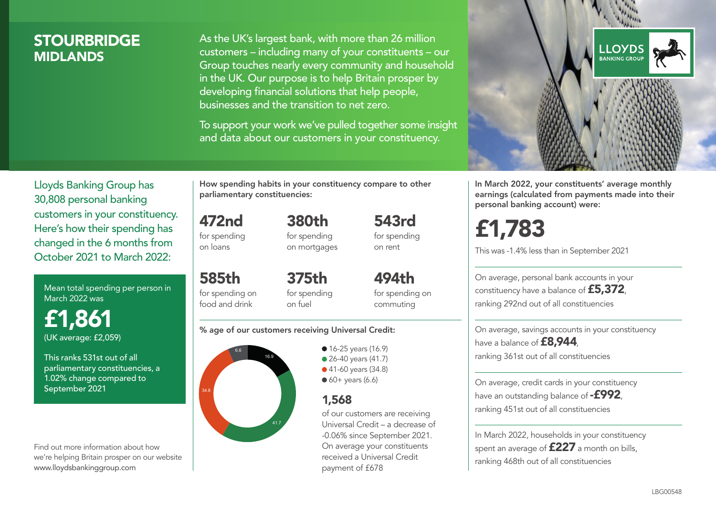# **STOURBRIDGE MIDI ANDS**

As the UK's largest bank, with more than 26 million customers – including many of your constituents – our Group touches nearly every community and household in the UK. Our purpose is to help Britain prosper by developing financial solutions that help people, businesses and the transition to net zero.

To support your work we've pulled together some insight and data about our customers in your constituency.



In March 2022, your constituents' average monthly earnings (calculated from payments made into their personal banking account) were:

# £1,783

This was -1.4% less than in September 2021

On average, personal bank accounts in your constituency have a balance of £5,372, ranking 292nd out of all constituencies

On average, savings accounts in your constituency have a balance of **£8,944** ranking 361st out of all constituencies

On average, credit cards in your constituency have an outstanding balance of  $-$ £992. ranking 451st out of all constituencies

In March 2022, households in your constituency spent an average of £227 a month on bills, ranking 468th out of all constituencies

Lloyds Banking Group has 30,808 personal banking customers in your constituency. Here's how their spending has changed in the 6 months from October 2021 to March 2022:

Mean total spending per person in March 2022 was

£1,861 (UK average: £2,059)

This ranks 531st out of all parliamentary constituencies, a 1.02% change compared to September 2021

Find out more information about how we're helping Britain prosper on our website www.lloydsbankinggroup.com

How spending habits in your constituency compare to other parliamentary constituencies:

472nd for spending 380th

on loans

585th

for spending on mortgages

for spending on food and drink 375th for spending on fuel

494th for spending on commuting

543rd for spending on rent

#### % age of our customers receiving Universal Credit:



**16-25 years (16.9)** • 26-40 years (41.7) ● 41-60 years (34.8)  $60+$  years (6.6)

# 1,568

of our customers are receiving Universal Credit – a decrease of -0.06% since September 2021. On average your constituents received a Universal Credit payment of £678